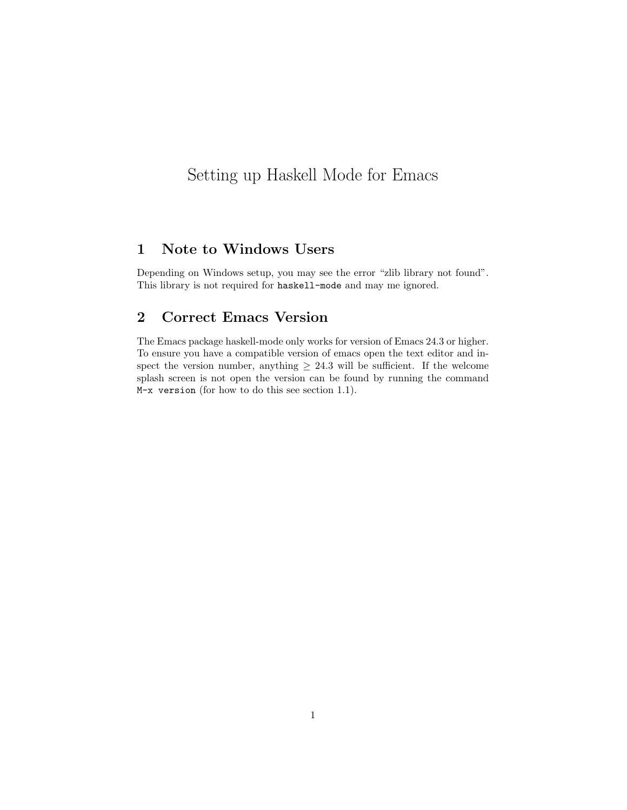# Setting up Haskell Mode for Emacs

### 1 Note to Windows Users

Depending on Windows setup, you may see the error "zlib library not found". This library is not required for haskell-mode and may me ignored.

## 2 Correct Emacs Version

The Emacs package haskell-mode only works for version of Emacs 24.3 or higher. To ensure you have a compatible version of emacs open the text editor and inspect the version number, anything  $\geq 24.3$  will be sufficient. If the welcome splash screen is not open the version can be found by running the command M-x version (for how to do this see section 1.1).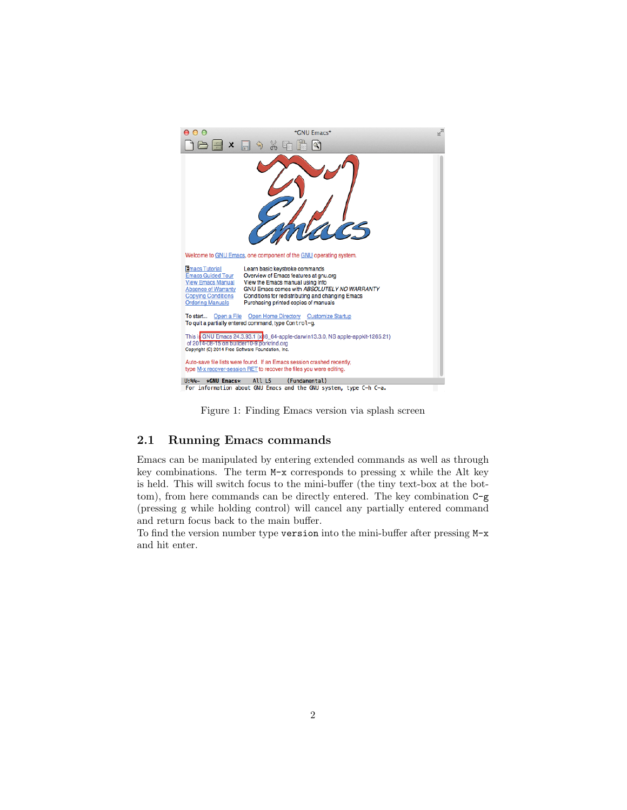

Figure 1: Finding Emacs version via splash screen

#### 2.1 Running Emacs commands

Emacs can be manipulated by entering extended commands as well as through key combinations. The term M-x corresponds to pressing x while the Alt key is held. This will switch focus to the mini-buffer (the tiny text-box at the bottom), from here commands can be directly entered. The key combination C-g (pressing g while holding control) will cancel any partially entered command and return focus back to the main buffer.

To find the version number type version into the mini-buffer after pressing M-x and hit enter.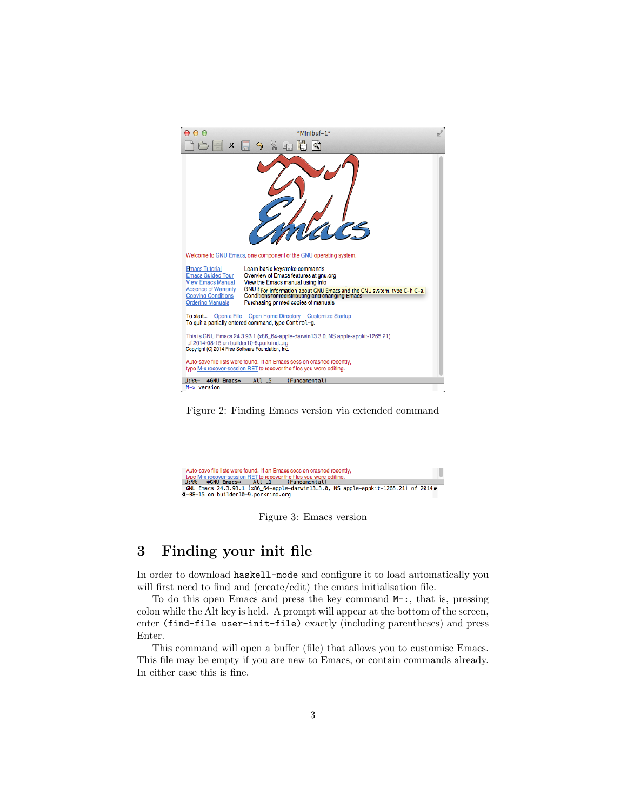

Figure 2: Finding Emacs version via extended command



Figure 3: Emacs version

#### 3 Finding your init file

In order to download haskell-mode and configure it to load automatically you will first need to find and (create/edit) the emacs initialisation file.

To do this open Emacs and press the key command M-:, that is, pressing colon while the Alt key is held. A prompt will appear at the bottom of the screen, enter (find-file user-init-file) exactly (including parentheses) and press Enter.

This command will open a buffer (file) that allows you to customise Emacs. This file may be empty if you are new to Emacs, or contain commands already. In either case this is fine.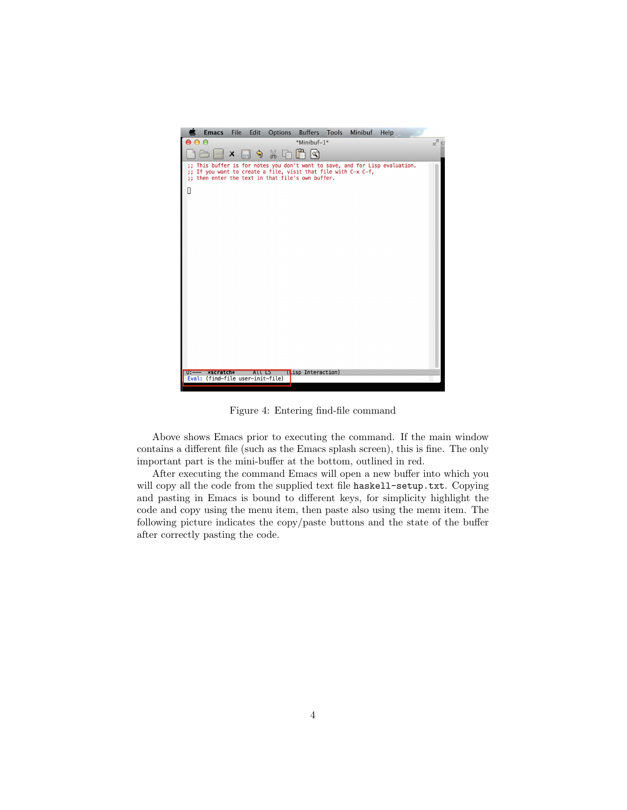

Figure 4: Entering find-file command

Above shows Emacs prior to executing the command. If the main window contains a different file (such as the Emacs splash screen), this is fine. The only important part is the mini-buffer at the bottom, outlined in red.

After executing the command Emacs will open a new buffer into which you will copy all the code from the supplied text file haskell-setup.txt. Copying and pasting in Emacs is bound to different keys, for simplicity highlight the code and copy using the menu item, then paste also using the menu item. The following picture indicates the copy/paste buttons and the state of the buffer after correctly pasting the code.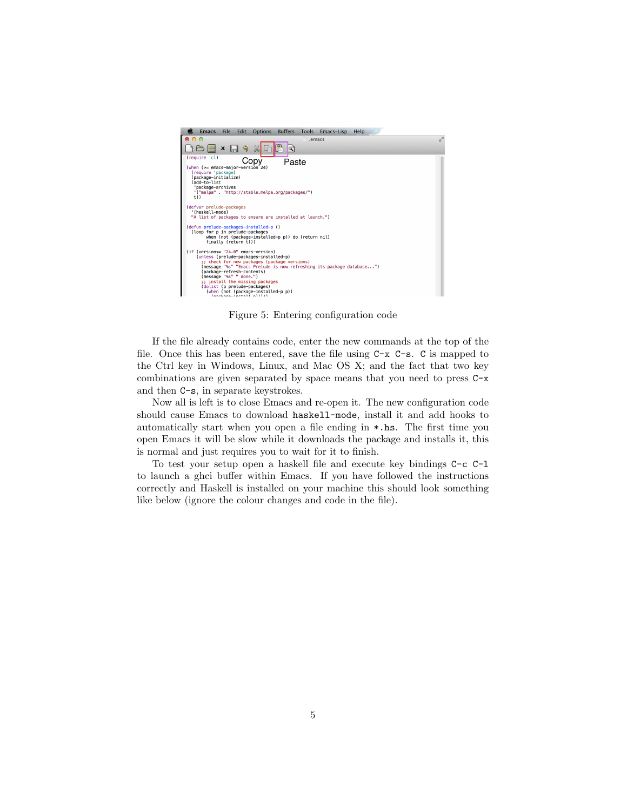

Figure 5: Entering configuration code

If the file already contains code, enter the new commands at the top of the file. Once this has been entered, save the file using  $C-x$   $C-s$ . C is mapped to the Ctrl key in Windows, Linux, and Mac OS X; and the fact that two key combinations are given separated by space means that you need to press C-x and then C-s, in separate keystrokes.

Now all is left is to close Emacs and re-open it. The new configuration code should cause Emacs to download haskell-mode, install it and add hooks to automatically start when you open a file ending in \*.hs. The first time you open Emacs it will be slow while it downloads the package and installs it, this is normal and just requires you to wait for it to finish.

To test your setup open a haskell file and execute key bindings C-c C-l to launch a ghci buffer within Emacs. If you have followed the instructions correctly and Haskell is installed on your machine this should look something like below (ignore the colour changes and code in the file).